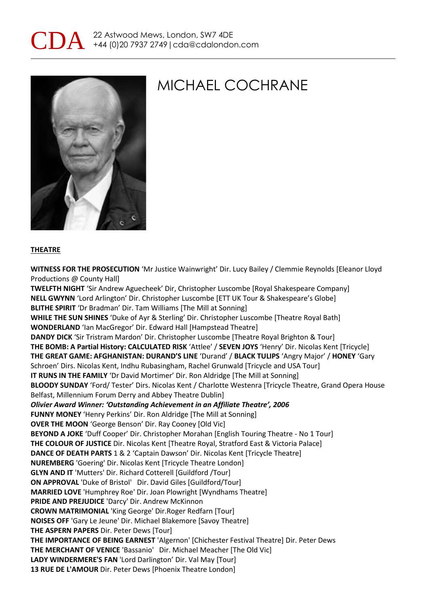



#### **THEATRE**

**WITNESS FOR THE PROSECUTION** 'Mr Justice Wainwright' Dir. Lucy Bailey / Clemmie Reynolds [Eleanor Lloyd Productions @ County Hall] **TWELFTH NIGHT** 'Sir Andrew Aguecheek' Dir, Christopher Luscombe [Royal Shakespeare Company] **NELL GWYNN** 'Lord Arlington' Dir. Christopher Luscombe [ETT UK Tour & Shakespeare's Globe] **BLITHE SPIRIT** 'Dr Bradman' Dir. Tam Williams [The Mill at Sonning] **WHILE THE SUN SHINES** 'Duke of Ayr & Sterling' Dir. Christopher Luscombe [Theatre Royal Bath] **WONDERLAND** 'Ian MacGregor' Dir. Edward Hall [Hampstead Theatre] **DANDY DICK** 'Sir Tristram Mardon' Dir. Christopher Luscombe [Theatre Royal Brighton & Tour] **THE BOMB: A Partial History: CALCULATED RISK** 'Attlee' / **SEVEN JOYS** 'Henry' Dir. Nicolas Kent [Tricycle] **THE GREAT GAME: AFGHANISTAN: DURAND'S LINE** 'Durand' / **BLACK TULIPS** 'Angry Major' / **HONEY** 'Gary Schroen' Dirs. Nicolas Kent, Indhu Rubasingham, Rachel Grunwald [Tricycle and USA Tour] **IT RUNS IN THE FAMILY** 'Dr David Mortimer' Dir. Ron Aldridge [The Mill at Sonning] **BLOODY SUNDAY** 'Ford/ Tester' Dirs. Nicolas Kent / Charlotte Westenra [Tricycle Theatre, Grand Opera House Belfast, Millennium Forum Derry and Abbey Theatre Dublin] *Olivier Award Winner: 'Outstanding Achievement in an Affiliate Theatre', 2006* **FUNNY MONEY** 'Henry Perkins' Dir. Ron Aldridge [The Mill at Sonning] **OVER THE MOON** 'George Benson' Dir. Ray Cooney [Old Vic] **BEYOND A JOKE** 'Duff Cooper' Dir. Christopher Morahan [English Touring Theatre - No 1 Tour] **THE COLOUR OF JUSTICE** Dir. Nicolas Kent [Theatre Royal, Stratford East & Victoria Palace] **DANCE OF DEATH PARTS** 1 & 2 'Captain Dawson' Dir. Nicolas Kent [Tricycle Theatre] **NUREMBERG** 'Goering' Dir. Nicolas Kent [Tricycle Theatre London] **GLYN AND IT** 'Mutters' Dir. Richard Cotterell [Guildford /Tour] **ON APPROVAL** 'Duke of Bristol' Dir. David Giles [Guildford/Tour] **MARRIED LOVE** 'Humphrey Roe' Dir. Joan Plowright [Wyndhams Theatre] **PRIDE AND PREJUDICE** 'Darcy' Dir. Andrew McKinnon **CROWN MATRIMONIAL** 'King George' Dir.Roger Redfarn [Tour] **NOISES OFF** 'Gary Le Jeune' Dir. Michael Blakemore [Savoy Theatre] **THE ASPERN PAPERS** Dir. Peter Dews [Tour] **THE IMPORTANCE OF BEING EARNEST** 'Algernon' [Chichester Festival Theatre] Dir. Peter Dews **THE MERCHANT OF VENICE** 'Bassanio' Dir. Michael Meacher [The Old Vic] **LADY WINDERMERE'S FAN** 'Lord Darlington' Dir. Val May [Tour] **13 RUE DE L'AMOUR** Dir. Peter Dews [Phoenix Theatre London]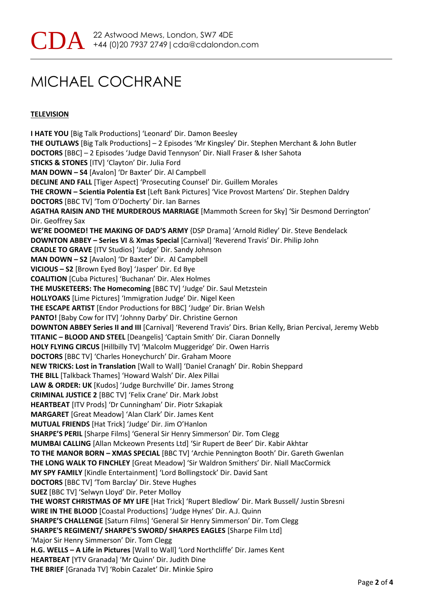### **TELEVISION**

**I HATE YOU** [Big Talk Productions] 'Leonard' Dir. Damon Beesley **THE OUTLAWS** [Big Talk Productions] – 2 Episodes 'Mr Kingsley' Dir. Stephen Merchant & John Butler **DOCTORS** [BBC] – 2 Episodes 'Judge David Tennyson' Dir. Niall Fraser & Isher Sahota **STICKS & STONES** [ITV] 'Clayton' Dir. Julia Ford **MAN DOWN – S4** [Avalon] 'Dr Baxter' Dir. Al Campbell **DECLINE AND FALL** [Tiger Aspect] 'Prosecuting Counsel' Dir. Guillem Morales **THE CROWN – Scientia Polentia Est** [Left Bank Pictures] 'Vice Provost Martens' Dir. Stephen Daldry **DOCTORS** [BBC TV] 'Tom O'Docherty' Dir. Ian Barnes **AGATHA RAISIN AND THE MURDEROUS MARRIAGE** [Mammoth Screen for Sky] 'Sir Desmond Derrington' Dir. Geoffrey Sax **WE'RE DOOMED! THE MAKING OF DAD'S ARMY** {DSP Drama] 'Arnold Ridley' Dir. Steve Bendelack **DOWNTON ABBEY – Series VI** & **Xmas Special** [Carnival] 'Reverend Travis' Dir. Philip John **CRADLE TO GRAVE** [ITV Studios] 'Judge' Dir. Sandy Johnson **MAN DOWN – S2** [Avalon] 'Dr Baxter' Dir. Al Campbell **VICIOUS – S2** [Brown Eyed Boy] 'Jasper' Dir. Ed Bye **COALITION** [Cuba Pictures] 'Buchanan' Dir. Alex Holmes **THE MUSKETEERS: The Homecoming** [BBC TV] 'Judge' Dir. Saul Metzstein **HOLLYOAKS** [Lime Pictures] 'Immigration Judge' Dir. Nigel Keen **THE ESCAPE ARTIST** [Endor Productions for BBC] 'Judge' Dir. Brian Welsh **PANTO!** [Baby Cow for ITV] 'Johnny Darby' Dir. Christine Gernon **DOWNTON ABBEY Series II and III** [Carnival] 'Reverend Travis' Dirs. Brian Kelly, Brian Percival, Jeremy Webb **TITANIC – BLOOD AND STEEL** [Deangelis] 'Captain Smith' Dir. Ciaran Donnelly **HOLY FLYING CIRCUS** [Hillbilly TV] 'Malcolm Muggeridge' Dir. Owen Harris **DOCTORS** [BBC TV] 'Charles Honeychurch' Dir. Graham Moore **NEW TRICKS: Lost in Translation** [Wall to Wall] 'Daniel Cranagh' Dir. Robin Sheppard **THE BILL** [Talkback Thames] 'Howard Walsh' Dir. Alex Pillai **LAW & ORDER: UK** [Kudos] 'Judge Burchville' Dir. James Strong **CRIMINAL JUSTICE 2** [BBC TV] 'Felix Crane' Dir. Mark Jobst **HEARTBEAT** [ITV Prods] 'Dr Cunningham' Dir. Piotr Szkapiak **MARGARET** [Great Meadow] 'Alan Clark' Dir. James Kent **MUTUAL FRIENDS** [Hat Trick] 'Judge' Dir. Jim O'Hanlon **SHARPE'S PERIL** [Sharpe Films] 'General Sir Henry Simmerson' Dir. Tom Clegg **MUMBAI CALLING** [Allan Mckeown Presents Ltd] 'Sir Rupert de Beer' Dir. Kabir Akhtar **TO THE MANOR BORN – XMAS SPECIAL** [BBC TV] 'Archie Pennington Booth' Dir. Gareth Gwenlan **THE LONG WALK TO FINCHLEY** [Great Meadow] 'Sir Waldron Smithers' Dir. Niall MacCormick **MY SPY FAMILY** [Kindle Entertainment] 'Lord Bollingstock' Dir. David Sant **DOCTORS** [BBC TV] 'Tom Barclay' Dir. Steve Hughes **SUEZ** [BBC TV] 'Selwyn Lloyd' Dir. Peter Molloy **THE WORST CHRISTMAS OF MY LIFE** [Hat Trick] 'Rupert Bledlow' Dir. Mark Bussell/ Justin Sbresni **WIRE IN THE BLOOD** [Coastal Productions] 'Judge Hynes' Dir. A.J. Quinn **SHARPE'S CHALLENGE** [Saturn Films] 'General Sir Henry Simmerson' Dir. Tom Clegg **SHARPE'S REGIMENT/ SHARPE'S SWORD/ SHARPES EAGLES** [Sharpe Film Ltd] 'Major Sir Henry Simmerson' Dir. Tom Clegg **H.G. WELLS – A Life in Pictures** [Wall to Wall] 'Lord Northcliffe' Dir. James Kent **HEARTBEAT** [YTV Granada] 'Mr Quinn' Dir. Judith Dine **THE BRIEF** [Granada TV] 'Robin Cazalet' Dir. Minkie Spiro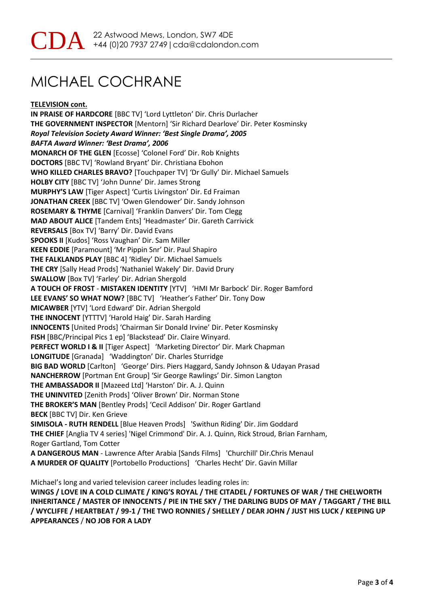**TELEVISION cont.**

**IN PRAISE OF HARDCORE** [BBC TV] 'Lord Lyttleton' Dir. Chris Durlacher **THE GOVERNMENT INSPECTOR** [Mentorn] 'Sir Richard Dearlove' Dir. Peter Kosminsky *Royal Television Society Award Winner: 'Best Single Drama', 2005 BAFTA Award Winner: 'Best Drama', 2006*  **MONARCH OF THE GLEN** [Ecosse] 'Colonel Ford' Dir. Rob Knights **DOCTORS** [BBC TV] 'Rowland Bryant' Dir. Christiana Ebohon **WHO KILLED CHARLES BRAVO?** [Touchpaper TV] 'Dr Gully' Dir. Michael Samuels **HOLBY CITY** [BBC TV] 'John Dunne' Dir. James Strong **MURPHY'S LAW** [Tiger Aspect] 'Curtis Livingston' Dir. Ed Fraiman **JONATHAN CREEK** [BBC TV] 'Owen Glendower' Dir. Sandy Johnson **ROSEMARY & THYME** [Carnival] 'Franklin Danvers' Dir. Tom Clegg **MAD ABOUT ALICE** [Tandem Ents] 'Headmaster' Dir. Gareth Carrivick **REVERSALS** [Box TV] 'Barry' Dir. David Evans **SPOOKS II** [Kudos] 'Ross Vaughan' Dir. Sam Miller **KEEN EDDIE** [Paramount] 'Mr Pippin Snr' Dir. Paul Shapiro **THE FALKLANDS PLAY** [BBC 4] 'Ridley' Dir. Michael Samuels **THE CRY** [Sally Head Prods] 'Nathaniel Wakely' Dir. David Drury **SWALLOW** [Box TV] 'Farley' Dir. Adrian Shergold **A TOUCH OF FROST** - **MISTAKEN IDENTITY** [YTV] 'HMI Mr Barbock' Dir. Roger Bamford **LEE EVANS' SO WHAT NOW?** [BBC TV] 'Heather's Father' Dir. Tony Dow **MICAWBER** [YTV] 'Lord Edward' Dir. Adrian Shergold **THE INNOCENT** [YTTTV] 'Harold Haig' Dir. Sarah Harding **INNOCENTS** [United Prods] 'Chairman Sir Donald Irvine' Dir. Peter Kosminsky **FISH** [BBC/Principal Pics 1 ep] 'Blackstead' Dir. Claire Winyard. **PERFECT WORLD I & II** [Tiger Aspect] 'Marketing Director' Dir. Mark Chapman **LONGITUDE** [Granada] 'Waddington' Dir. Charles Sturridge **BIG BAD WORLD** [Carlton] 'George' Dirs. Piers Haggard, Sandy Johnson & Udayan Prasad **NANCHERROW** [Portman Ent Group] 'Sir George Rawlings' Dir. Simon Langton **THE AMBASSADOR II** [Mazeed Ltd] 'Harston' Dir. A. J. Quinn **THE UNINVITED** [Zenith Prods] 'Oliver Brown' Dir. Norman Stone **THE BROKER'S MAN** [Bentley Prods] 'Cecil Addison' Dir. Roger Gartland **BECK** [BBC TV] Dir. Ken Grieve **SIMISOLA - RUTH RENDELL** [Blue Heaven Prods] 'Swithun Riding' Dir. Jim Goddard **THE CHIEF** [Anglia TV 4 series] 'Nigel Crimmond' Dir. A. J. Quinn, Rick Stroud, Brian Farnham, Roger Gartland, Tom Cotter **A DANGEROUS MAN** - Lawrence After Arabia [Sands Films] 'Churchill' Dir.Chris Menaul **A MURDER OF QUALITY** [Portobello Productions] 'Charles Hecht' Dir. Gavin Millar

Michael's long and varied television career includes leading roles in:

**WINGS / LOVE IN A COLD CLIMATE / KING'S ROYAL / THE CITADEL / FORTUNES OF WAR / THE CHELWORTH INHERITANCE / MASTER OF INNOCENTS / PIE IN THE SKY / THE DARLING BUDS OF MAY / TAGGART / THE BILL / WYCLIFFE / HEARTBEAT / 99-1 / THE TWO RONNIES / SHELLEY / DEAR JOHN / JUST HIS LUCK / KEEPING UP APPEARANCES** / **NO JOB FOR A LADY**